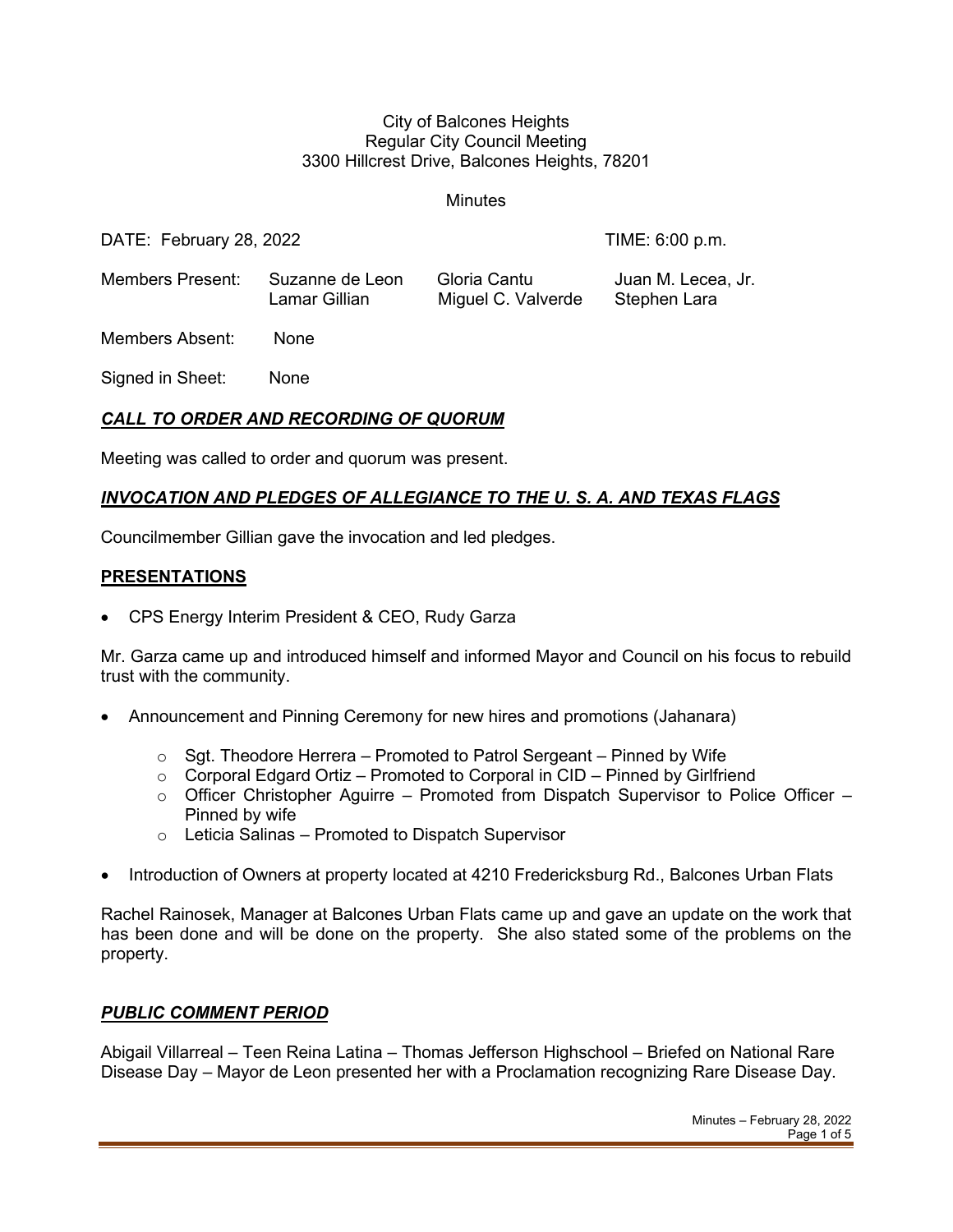#### City of Balcones Heights Regular City Council Meeting 3300 Hillcrest Drive, Balcones Heights, 78201

**Minutes** 

DATE: February 28, 2022 TIME: 6:00 p.m.

Members Present: Suzanne de Leon Gloria Cantu Juan M. Lecea, Jr. Lamar Gillian Miguel C. Valverde Stephen Lara

Members Absent: None

Signed in Sheet: None

# *CALL TO ORDER AND RECORDING OF QUORUM*

Meeting was called to order and quorum was present.

## *INVOCATION AND PLEDGES OF ALLEGIANCE TO THE U. S. A. AND TEXAS FLAGS*

Councilmember Gillian gave the invocation and led pledges.

### **PRESENTATIONS**

• CPS Energy Interim President & CEO, Rudy Garza

Mr. Garza came up and introduced himself and informed Mayor and Council on his focus to rebuild trust with the community.

- Announcement and Pinning Ceremony for new hires and promotions (Jahanara)
	- $\circ$  Sgt. Theodore Herrera Promoted to Patrol Sergeant Pinned by Wife
	- $\circ$  Corporal Edgard Ortiz Promoted to Corporal in CID Pinned by Girlfriend
	- $\circ$  Officer Christopher Aguirre Promoted from Dispatch Supervisor to Police Officer Pinned by wife
	- $\circ$  Leticia Salinas Promoted to Dispatch Supervisor
- Introduction of Owners at property located at 4210 Fredericksburg Rd., Balcones Urban Flats

Rachel Rainosek, Manager at Balcones Urban Flats came up and gave an update on the work that has been done and will be done on the property. She also stated some of the problems on the property.

### *PUBLIC COMMENT PERIOD*

Abigail Villarreal – Teen Reina Latina – Thomas Jefferson Highschool – Briefed on National Rare Disease Day – Mayor de Leon presented her with a Proclamation recognizing Rare Disease Day.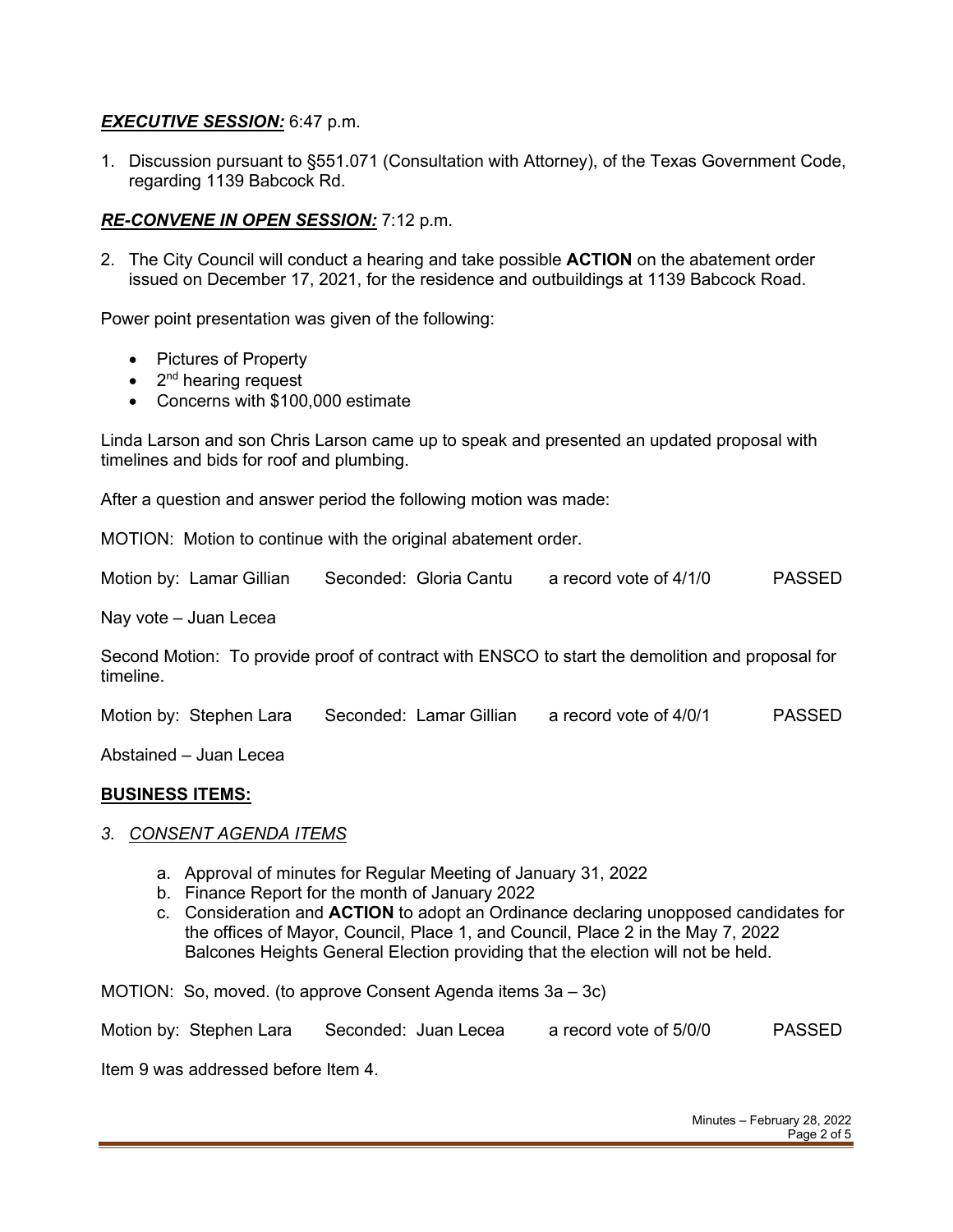## *EXECUTIVE SESSION:* 6:47 p.m.

1. Discussion pursuant to §551.071 (Consultation with Attorney), of the Texas Government Code, regarding 1139 Babcock Rd.

## *RE-CONVENE IN OPEN SESSION:* 7:12 p.m.

2. The City Council will conduct a hearing and take possible **ACTION** on the abatement order issued on December 17, 2021, for the residence and outbuildings at 1139 Babcock Road.

Power point presentation was given of the following:

- Pictures of Property
- $\bullet$  2<sup>nd</sup> hearing request
- Concerns with \$100,000 estimate

Linda Larson and son Chris Larson came up to speak and presented an updated proposal with timelines and bids for roof and plumbing.

After a question and answer period the following motion was made:

MOTION: Motion to continue with the original abatement order.

Motion by: Lamar Gillian Seconded: Gloria Cantu a record vote of 4/1/0 PASSED

Nay vote – Juan Lecea

Second Motion: To provide proof of contract with ENSCO to start the demolition and proposal for timeline.

Motion by: Stephen Lara Seconded: Lamar Gillian a record vote of 4/0/1 PASSED

Abstained – Juan Lecea

#### **BUSINESS ITEMS:**

### *3. CONSENT AGENDA ITEMS*

- a. Approval of minutes for Regular Meeting of January 31, 2022
- b. Finance Report for the month of January 2022
- c. Consideration and **ACTION** to adopt an Ordinance declaring unopposed candidates for the offices of Mayor, Council, Place 1, and Council, Place 2 in the May 7, 2022 Balcones Heights General Election providing that the election will not be held.

MOTION: So, moved. (to approve Consent Agenda items 3a – 3c)

Motion by: Stephen Lara Seconded: Juan Lecea a record vote of 5/0/0 PASSED

Item 9 was addressed before Item 4.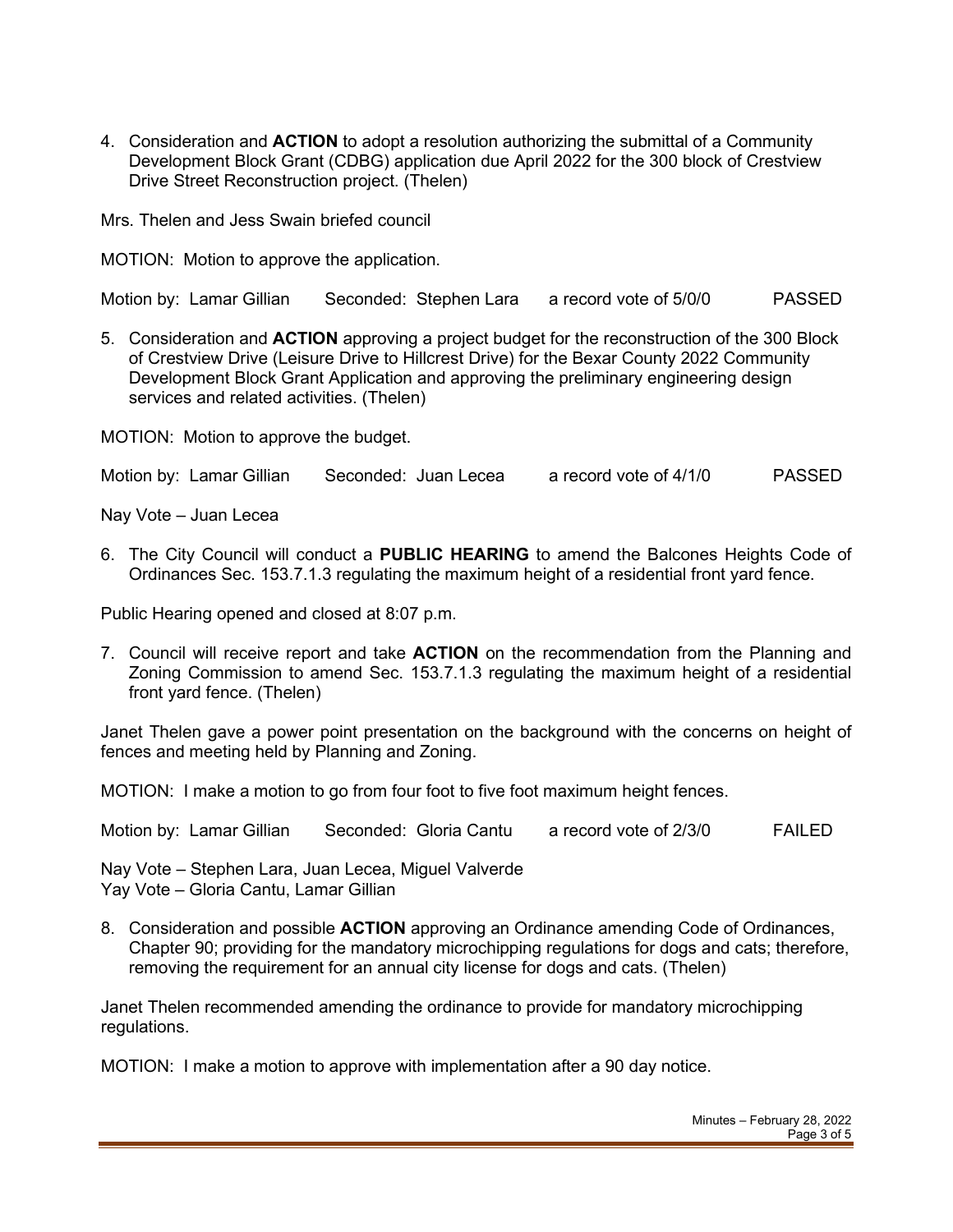4. Consideration and **ACTION** to adopt a resolution authorizing the submittal of a Community Development Block Grant (CDBG) application due April 2022 for the 300 block of Crestview Drive Street Reconstruction project. (Thelen)

Mrs. Thelen and Jess Swain briefed council

MOTION: Motion to approve the application.

Motion by: Lamar Gillian Seconded: Stephen Lara a record vote of 5/0/0 PASSED

5. Consideration and **ACTION** approving a project budget for the reconstruction of the 300 Block of Crestview Drive (Leisure Drive to Hillcrest Drive) for the Bexar County 2022 Community Development Block Grant Application and approving the preliminary engineering design services and related activities. (Thelen)

MOTION: Motion to approve the budget.

Motion by: Lamar Gillian Seconded: Juan Lecea a record vote of 4/1/0 PASSED

Nay Vote – Juan Lecea

6. The City Council will conduct a **PUBLIC HEARING** to amend the Balcones Heights Code of Ordinances Sec. 153.7.1.3 regulating the maximum height of a residential front yard fence.

Public Hearing opened and closed at 8:07 p.m.

7. Council will receive report and take **ACTION** on the recommendation from the Planning and Zoning Commission to amend Sec. 153.7.1.3 regulating the maximum height of a residential front yard fence. (Thelen)

Janet Thelen gave a power point presentation on the background with the concerns on height of fences and meeting held by Planning and Zoning.

MOTION: I make a motion to go from four foot to five foot maximum height fences.

Motion by: Lamar Gillian Seconded: Gloria Cantu a record vote of 2/3/0 FAILED

Nay Vote – Stephen Lara, Juan Lecea, Miguel Valverde Yay Vote – Gloria Cantu, Lamar Gillian

8. Consideration and possible **ACTION** approving an Ordinance amending Code of Ordinances, Chapter 90; providing for the mandatory microchipping regulations for dogs and cats; therefore, removing the requirement for an annual city license for dogs and cats. (Thelen)

Janet Thelen recommended amending the ordinance to provide for mandatory microchipping regulations.

MOTION: I make a motion to approve with implementation after a 90 day notice.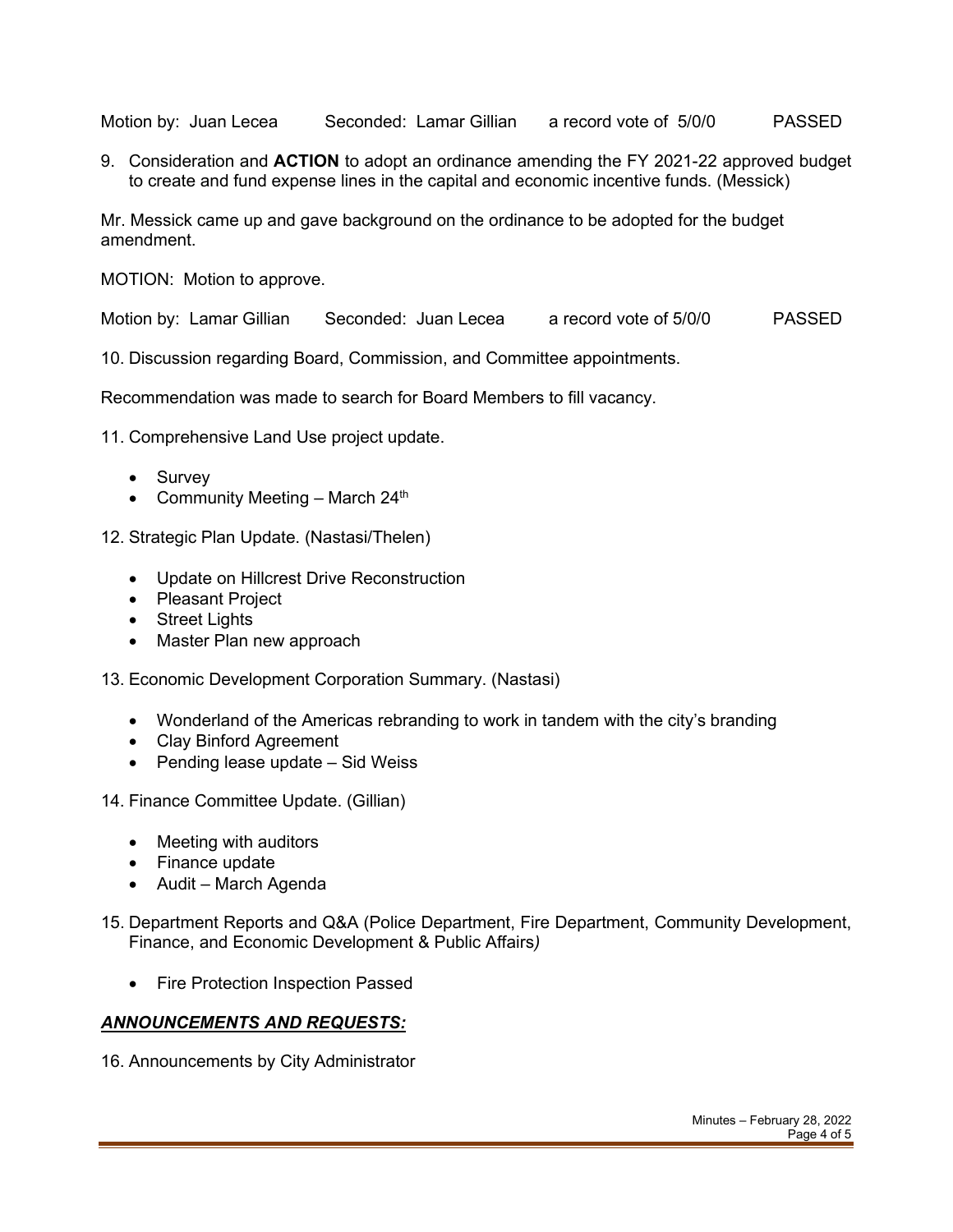Motion by: Juan Lecea Seconded: Lamar Gillian a record vote of 5/0/0 PASSED

9. Consideration and **ACTION** to adopt an ordinance amending the FY 2021-22 approved budget to create and fund expense lines in the capital and economic incentive funds. (Messick)

Mr. Messick came up and gave background on the ordinance to be adopted for the budget amendment.

MOTION: Motion to approve.

Motion by: Lamar Gillian Seconded: Juan Lecea a record vote of 5/0/0 PASSED

10. Discussion regarding Board, Commission, and Committee appointments.

Recommendation was made to search for Board Members to fill vacancy.

11. Comprehensive Land Use project update.

- Survey
- Community Meeting March  $24<sup>th</sup>$
- 12. Strategic Plan Update. (Nastasi/Thelen)
	- Update on Hillcrest Drive Reconstruction
	- Pleasant Project
	- Street Lights
	- Master Plan new approach
- 13. Economic Development Corporation Summary. (Nastasi)
	- Wonderland of the Americas rebranding to work in tandem with the city's branding
	- Clay Binford Agreement
	- Pending lease update Sid Weiss
- 14. Finance Committee Update. (Gillian)
	- Meeting with auditors
	- Finance update
	- Audit March Agenda
- 15. Department Reports and Q&A (Police Department, Fire Department, Community Development, Finance, and Economic Development & Public Affairs*)*
	- Fire Protection Inspection Passed

#### *ANNOUNCEMENTS AND REQUESTS:*

16. Announcements by City Administrator